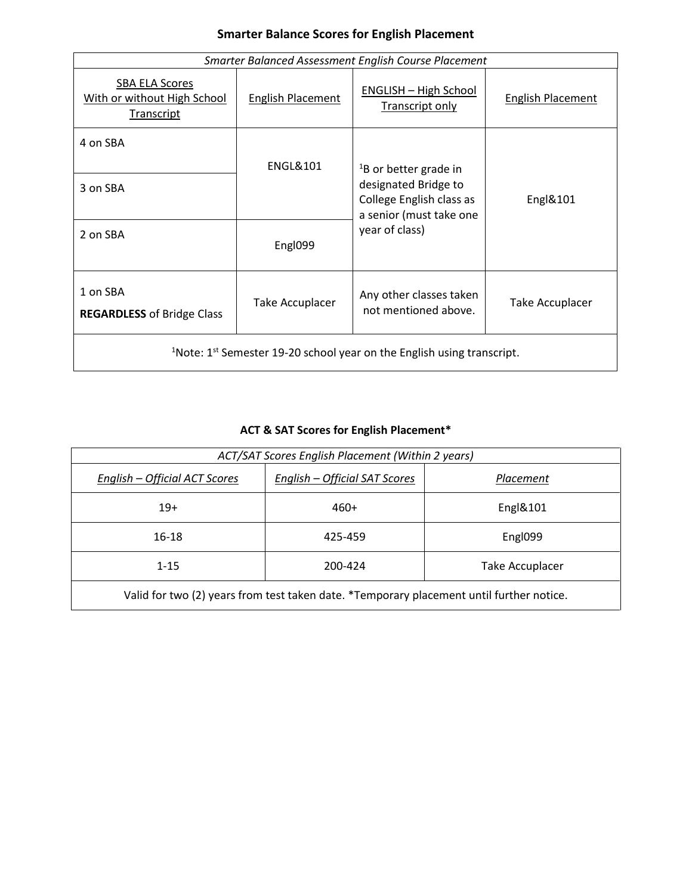| <b>Smarter Balance Scores for English Placement</b> |  |  |  |
|-----------------------------------------------------|--|--|--|
|-----------------------------------------------------|--|--|--|

| <b>Smarter Balanced Assessment English Course Placement</b>                                   |                          |                                                                             |                          |
|-----------------------------------------------------------------------------------------------|--------------------------|-----------------------------------------------------------------------------|--------------------------|
| SBA ELA Scores<br>With or without High School<br>Transcript                                   | <b>English Placement</b> | <b>ENGLISH - High School</b><br><b>Transcript only</b>                      | <b>English Placement</b> |
| 4 on SBA                                                                                      | <b>ENGL&amp;101</b>      | <sup>1</sup> B or better grade in                                           |                          |
| 3 on SBA                                                                                      |                          | designated Bridge to<br>College English class as<br>a senior (must take one | Engl&101                 |
| 2 on SBA                                                                                      | Engl099                  | year of class)                                                              |                          |
| 1 on SBA<br><b>REGARDLESS of Bridge Class</b>                                                 | Take Accuplacer          | Any other classes taken<br>not mentioned above.                             | Take Accuplacer          |
| $1^{\circ}$ Note: 1 <sup>st</sup> Semester 19-20 school year on the English using transcript. |                          |                                                                             |                          |

## **ACT & SAT Scores for English Placement\***

| ACT/SAT Scores English Placement (Within 2 years)                                        |                                      |                        |  |
|------------------------------------------------------------------------------------------|--------------------------------------|------------------------|--|
| <u>English – Official ACT Scores</u>                                                     | <u>English – Official SAT Scores</u> | Placement              |  |
| $19+$                                                                                    | 460+                                 | Engl&101               |  |
| $16 - 18$                                                                                | 425-459                              | Engl099                |  |
| $1 - 15$                                                                                 | 200-424                              | <b>Take Accuplacer</b> |  |
| Valid for two (2) years from test taken date. *Temporary placement until further notice. |                                      |                        |  |